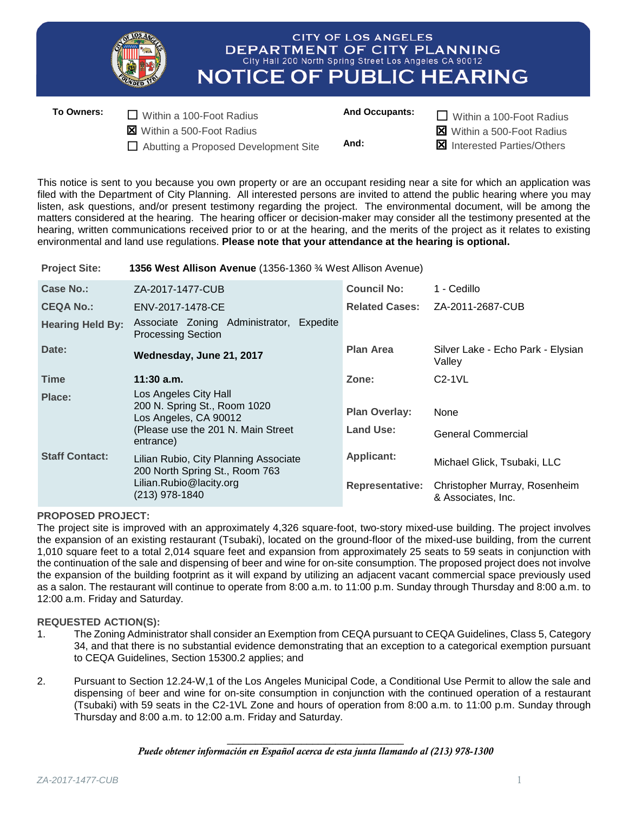

□ Abutting a Proposed Development Site And: Interested Parties/Others

This notice is sent to you because you own property or are an occupant residing near a site for which an application was filed with the Department of City Planning. All interested persons are invited to attend the public hearing where you may listen, ask questions, and/or present testimony regarding the project. The environmental document, will be among the matters considered at the hearing. The hearing officer or decision-maker may consider all the testimony presented at the hearing, written communications received prior to or at the hearing, and the merits of the project as it relates to existing environmental and land use regulations. **Please note that your attendance at the hearing is optional.**

**Project Site: 1356 West Allison Avenue** (1356-1360 ¾ West Allison Avenue)

| Case No.:               | ZA-2017-1477-CUB                                                                                                     | <b>Council No:</b>                | 1 - Cedillo                                         |
|-------------------------|----------------------------------------------------------------------------------------------------------------------|-----------------------------------|-----------------------------------------------------|
| <b>CEQA No.:</b>        | ENV-2017-1478-CE                                                                                                     | <b>Related Cases:</b>             | ZA-2011-2687-CUB                                    |
| <b>Hearing Held By:</b> | Associate Zoning Administrator, Expedite<br><b>Processing Section</b>                                                |                                   |                                                     |
| Date:                   | Wednesday, June 21, 2017                                                                                             | <b>Plan Area</b>                  | Silver Lake - Echo Park - Elysian<br>Valley         |
| <b>Time</b>             | $11:30$ a.m.                                                                                                         | Zone:                             | $C2-1VL$                                            |
| Place:                  | Los Angeles City Hall<br>200 N. Spring St., Room 1020<br>Los Angeles, CA 90012<br>(Please use the 201 N. Main Street | <b>Plan Overlay:</b><br>Land Use: | <b>None</b><br><b>General Commercial</b>            |
|                         | entrance)                                                                                                            |                                   |                                                     |
| <b>Staff Contact:</b>   | Lilian Rubio, City Planning Associate<br>200 North Spring St., Room 763                                              | <b>Applicant:</b>                 | Michael Glick, Tsubaki, LLC                         |
|                         | Lilian.Rubio@lacity.org<br>(213) 978-1840                                                                            | <b>Representative:</b>            | Christopher Murray, Rosenheim<br>& Associates, Inc. |

## **PROPOSED PROJECT:**

The project site is improved with an approximately 4,326 square-foot, two-story mixed-use building. The project involves the expansion of an existing restaurant (Tsubaki), located on the ground-floor of the mixed-use building, from the current 1,010 square feet to a total 2,014 square feet and expansion from approximately 25 seats to 59 seats in conjunction with the continuation of the sale and dispensing of beer and wine for on-site consumption. The proposed project does not involve the expansion of the building footprint as it will expand by utilizing an adjacent vacant commercial space previously used as a salon. The restaurant will continue to operate from 8:00 a.m. to 11:00 p.m. Sunday through Thursday and 8:00 a.m. to 12:00 a.m. Friday and Saturday.

## **REQUESTED ACTION(S):**

- 1. The Zoning Administrator shall consider an Exemption from CEQA pursuant to CEQA Guidelines, Class 5, Category 34, and that there is no substantial evidence demonstrating that an exception to a categorical exemption pursuant to CEQA Guidelines, Section 15300.2 applies; and
- 2. Pursuant to Section 12.24-W,1 of the Los Angeles Municipal Code, a Conditional Use Permit to allow the sale and dispensing of beer and wine for on-site consumption in conjunction with the continued operation of a restaurant (Tsubaki) with 59 seats in the C2-1VL Zone and hours of operation from 8:00 a.m. to 11:00 p.m. Sunday through Thursday and 8:00 a.m. to 12:00 a.m. Friday and Saturday.

\_\_\_\_\_\_\_\_\_\_\_\_\_\_\_\_\_\_\_\_\_\_\_\_\_\_\_\_\_\_\_ *Puede obtener información en Español acerca de esta junta llamando al (213) 978-1300*